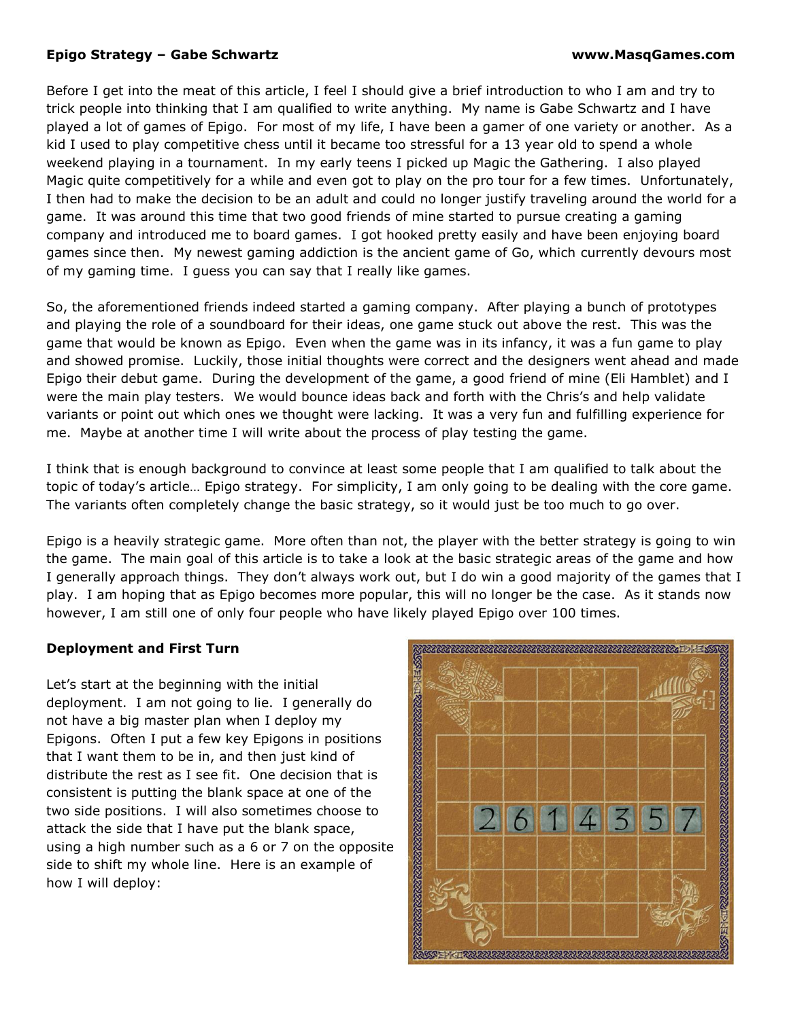## **Epigo Strategy – Gabe Schwartz www.MasqGames.com**

Before I get into the meat of this article, I feel I should give a brief introduction to who I am and try to trick people into thinking that I am qualified to write anything. My name is Gabe Schwartz and I have played a lot of games of Epigo. For most of my life, I have been a gamer of one variety or another. As a kid I used to play competitive chess until it became too stressful for a 13 year old to spend a whole weekend playing in a tournament. In my early teens I picked up Magic the Gathering. I also played Magic quite competitively for a while and even got to play on the pro tour for a few times. Unfortunately, I then had to make the decision to be an adult and could no longer justify traveling around the world for a game. It was around this time that two good friends of mine started to pursue creating a gaming company and introduced me to board games. I got hooked pretty easily and have been enjoying board games since then. My newest gaming addiction is the ancient game of Go, which currently devours most of my gaming time. I guess you can say that I really like games.

So, the aforementioned friends indeed started a gaming company. After playing a bunch of prototypes and playing the role of a soundboard for their ideas, one game stuck out above the rest. This was the game that would be known as Epigo. Even when the game was in its infancy, it was a fun game to play and showed promise. Luckily, those initial thoughts were correct and the designers went ahead and made Epigo their debut game. During the development of the game, a good friend of mine (Eli Hamblet) and I were the main play testers. We would bounce ideas back and forth with the Chris's and help validate variants or point out which ones we thought were lacking. It was a very fun and fulfilling experience for me. Maybe at another time I will write about the process of play testing the game.

I think that is enough background to convince at least some people that I am qualified to talk about the topic of today's article… Epigo strategy. For simplicity, I am only going to be dealing with the core game. The variants often completely change the basic strategy, so it would just be too much to go over.

Epigo is a heavily strategic game. More often than not, the player with the better strategy is going to win the game. The main goal of this article is to take a look at the basic strategic areas of the game and how I generally approach things. They don't always work out, but I do win a good majority of the games that I play. I am hoping that as Epigo becomes more popular, this will no longer be the case. As it stands now however, I am still one of only four people who have likely played Epigo over 100 times.

## **Deployment and First Turn**

Let's start at the beginning with the initial deployment. I am not going to lie. I generally do not have a big master plan when I deploy my Epigons. Often I put a few key Epigons in positions that I want them to be in, and then just kind of distribute the rest as I see fit. One decision that is consistent is putting the blank space at one of the two side positions. I will also sometimes choose to attack the side that I have put the blank space, using a high number such as a 6 or 7 on the opposite side to shift my whole line. Here is an example of how I will deploy:

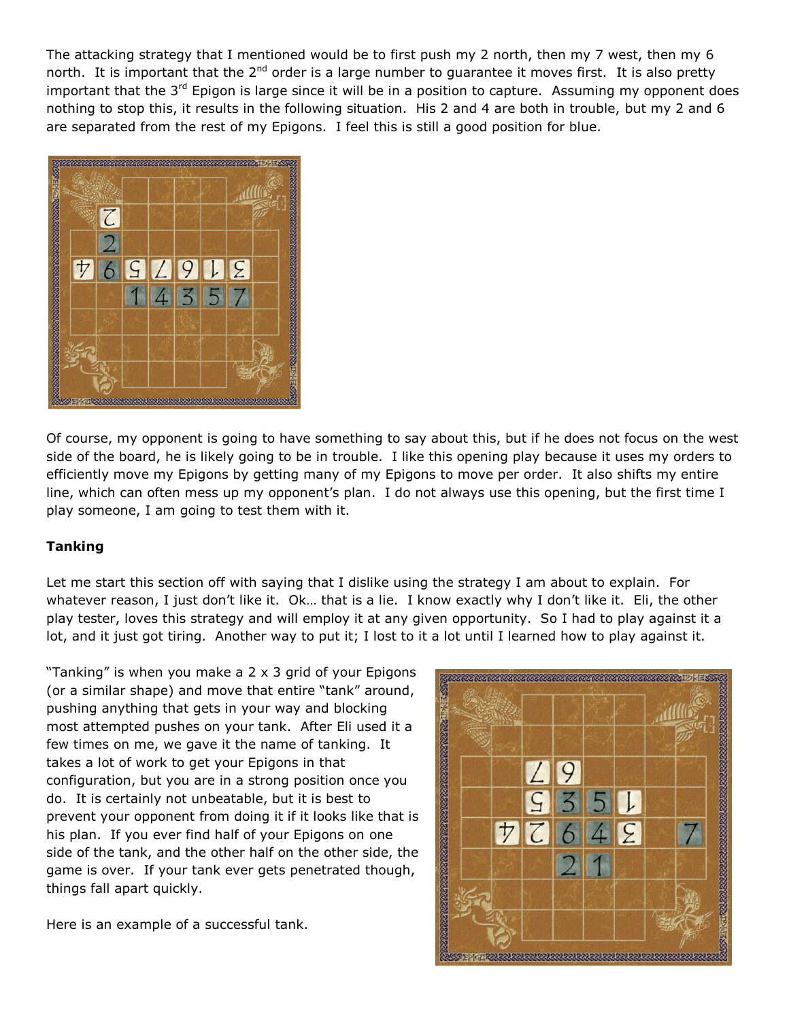The attacking strategy that I mentioned would be to first push my 2 north, then my 7 west, then my 6 north. It is important that the  $2^{nd}$  order is a large number to quarantee it moves first. It is also pretty important that the 3<sup>rd</sup> Epigon is large since it will be in a position to capture. Assuming my opponent does nothing to stop this, it results in the following situation. His 2 and 4 are both in trouble, but my 2 and 6 are separated from the rest of my Epigons. I feel this is still a good position for blue.



Of course, my opponent is going to have something to say about this, but if he does not focus on the west side of the board, he is likely going to be in trouble. I like this opening play because it uses my orders to efficiently move my Epigons by getting many of my Epigons to move per order. It also shifts my entire line, which can often mess up my opponent's plan. I do not always use this opening, but the first time I play someone, I am going to test them with it.

## **Tanking**

Let me start this section off with saying that I dislike using the strategy I am about to explain. For whatever reason, I just don't like it. Ok... that is a lie. I know exactly why I don't like it. Eli, the other play tester, loves this strategy and will employ it at any given opportunity. So I had to play against it a lot, and it just got tiring. Another way to put it; I lost to it a lot until I learned how to play against it.

"Tanking" is when you make a 2 x 3 grid of your Epigons (or a similar shape) and move that entire "tank" around, pushing anything that gets in your way and blocking most attempted pushes on your tank. After Eli used it a few times on me, we gave it the name of tanking. It takes a lot of work to get your Epigons in that configuration, but you are in a strong position once you do. It is certainly not unbeatable, but it is best to prevent your opponent from doing it if it looks like that is his plan. If you ever find half of your Epigons on one side of the tank, and the other half on the other side, the game is over. If your tank ever gets penetrated though, things fall apart quickly.

Here is an example of a successful tank.

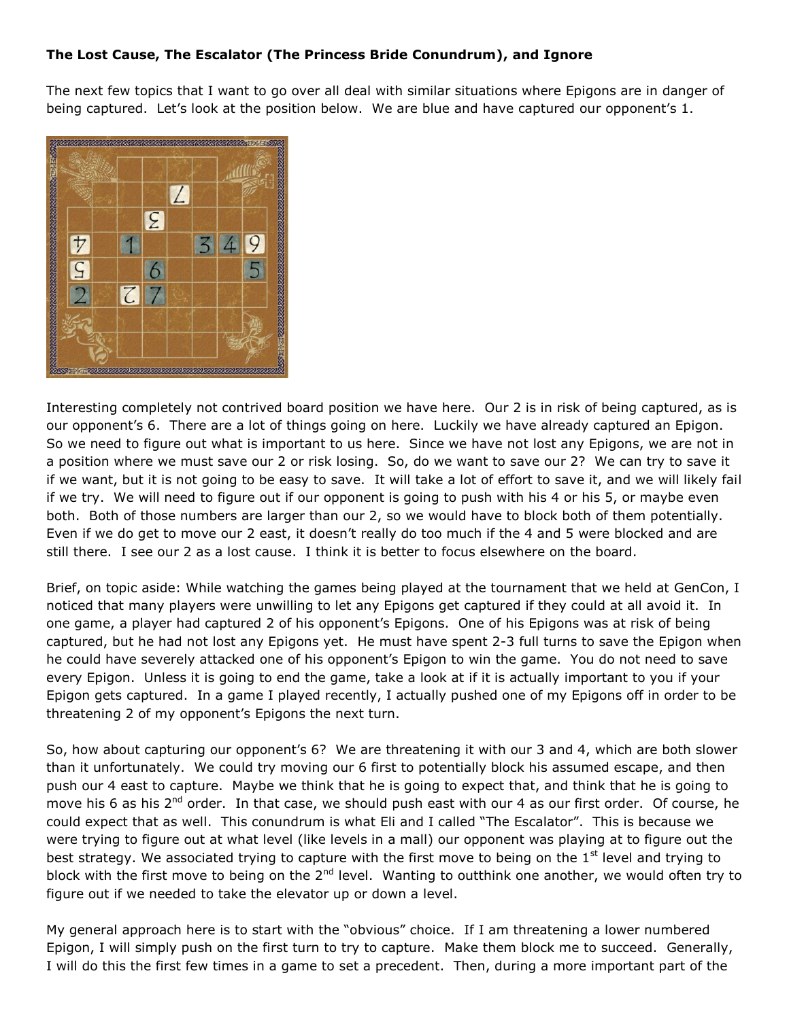## **The Lost Cause, The Escalator (The Princess Bride Conundrum), and Ignore**

The next few topics that I want to go over all deal with similar situations where Epigons are in danger of being captured. Let's look at the position below. We are blue and have captured our opponent's 1.



Interesting completely not contrived board position we have here. Our 2 is in risk of being captured, as is our opponent's 6. There are a lot of things going on here. Luckily we have already captured an Epigon. So we need to figure out what is important to us here. Since we have not lost any Epigons, we are not in a position where we must save our 2 or risk losing. So, do we want to save our 2? We can try to save it if we want, but it is not going to be easy to save. It will take a lot of effort to save it, and we will likely fail if we try. We will need to figure out if our opponent is going to push with his 4 or his 5, or maybe even both. Both of those numbers are larger than our 2, so we would have to block both of them potentially. Even if we do get to move our 2 east, it doesn't really do too much if the 4 and 5 were blocked and are still there. I see our 2 as a lost cause. I think it is better to focus elsewhere on the board.

Brief, on topic aside: While watching the games being played at the tournament that we held at GenCon, I noticed that many players were unwilling to let any Epigons get captured if they could at all avoid it. In one game, a player had captured 2 of his opponent's Epigons. One of his Epigons was at risk of being captured, but he had not lost any Epigons yet. He must have spent 2-3 full turns to save the Epigon when he could have severely attacked one of his opponent's Epigon to win the game. You do not need to save every Epigon. Unless it is going to end the game, take a look at if it is actually important to you if your Epigon gets captured. In a game I played recently, I actually pushed one of my Epigons off in order to be threatening 2 of my opponent's Epigons the next turn.

So, how about capturing our opponent's 6? We are threatening it with our 3 and 4, which are both slower than it unfortunately. We could try moving our 6 first to potentially block his assumed escape, and then push our 4 east to capture. Maybe we think that he is going to expect that, and think that he is going to move his 6 as his 2<sup>nd</sup> order. In that case, we should push east with our 4 as our first order. Of course, he could expect that as well. This conundrum is what Eli and I called "The Escalator". This is because we were trying to figure out at what level (like levels in a mall) our opponent was playing at to figure out the best strategy. We associated trying to capture with the first move to being on the  $1<sup>st</sup>$  level and trying to block with the first move to being on the 2<sup>nd</sup> level. Wanting to outthink one another, we would often try to figure out if we needed to take the elevator up or down a level.

My general approach here is to start with the "obvious" choice. If I am threatening a lower numbered Epigon, I will simply push on the first turn to try to capture. Make them block me to succeed. Generally, I will do this the first few times in a game to set a precedent. Then, during a more important part of the